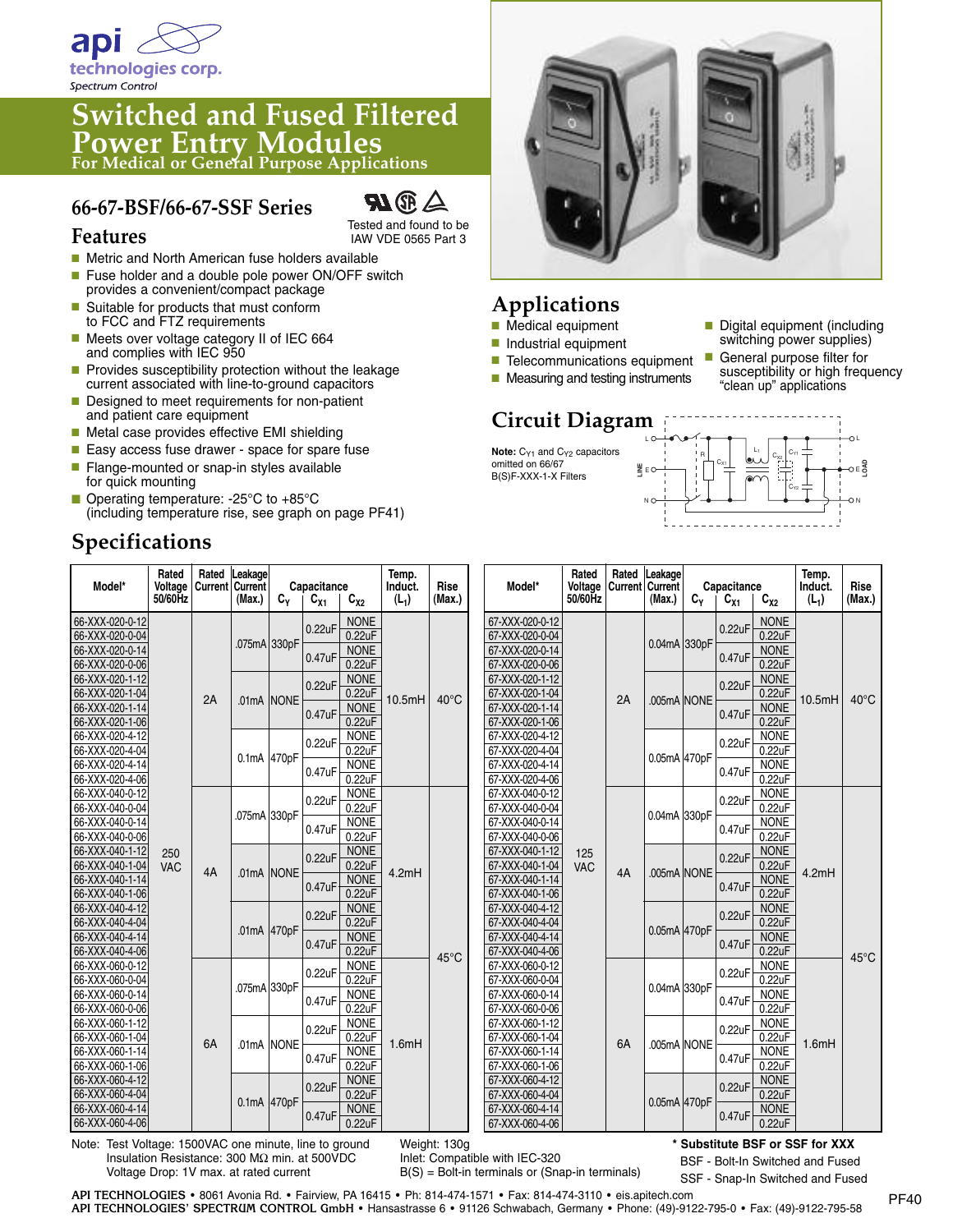

**Features**

# **Switched and Fused Filtered Power Entry Modules For Medical or General Purpose Applications**

#### **66-67-BSF/66-67-SSF Series**



Tested and found to be IAW VDE 0565 Part 3

- Metric and North American fuse holders available
- Fuse holder and a double pole power ON/OFF switch provides a convenient/compact package
- Suitable for products that must conform to FCC and FTZ requirements
- Meets over voltage category II of IEC 664 and complies with IEC 950
- Provides susceptibility protection without the leakage current associated with line-to-ground capacitors
- Designed to meet requirements for non-patient and patient care equipment
- Metal case provides effective EMI shielding
- Easy access fuse drawer space for spare fuse
- Flange-mounted or snap-in styles available for quick mounting
- Operating temperature: -25°C to +85°C (including temperature rise, see graph on page PF41)

## **Specifications**



## **Applications**

- Medical equipment
- Industrial equipment
- Telecommunications equipment
- Measuring and testing instruments

### **Circuit Diagram**

Note: C<sub>Y1</sub> and C<sub>Y2</sub> capacitors omitted on 66/67 B(S)F-XXX-1-X Filters

- Digital equipment (including switching power supplies)
- General purpose filter for susceptibility or high frequency "clean up" applications



| Model*                                                | Rated<br>Voltage<br>50/60Hz | Rated<br><b>Current Current</b> | Leakage<br>(Max.) | Capacitance<br>$C_{Y}$<br>$C_{X2}$<br>$C_{X1}$ |        |                                 | Temp.<br>Induct.<br>$(L_1)$ | <b>Rise</b><br>(Max.) | Model*                             | Rated<br>Voltage<br>50/60Hz | Rated<br><b>Current Current</b> | Leakage<br>(Max.) | Capacitance<br>$C_{Y}$<br>$C_{X1}$<br>$C_{X2}$ |        | Temp.<br>Induct.<br>$(L_1)$ | Rise<br>(Max.)                  |                |
|-------------------------------------------------------|-----------------------------|---------------------------------|-------------------|------------------------------------------------|--------|---------------------------------|-----------------------------|-----------------------|------------------------------------|-----------------------------|---------------------------------|-------------------|------------------------------------------------|--------|-----------------------------|---------------------------------|----------------|
| 66-XXX-020-0-12                                       |                             |                                 |                   |                                                |        | <b>NONE</b>                     |                             |                       | 67-XXX-020-0-12                    |                             |                                 |                   |                                                |        | <b>NONE</b>                 |                                 |                |
| 66-XXX-020-0-04                                       |                             | 2A                              |                   | .075mA 330pF                                   | 0.22uF | 0.22uF                          |                             | $40^{\circ}$ C        | 67-XXX-020-0-04                    |                             |                                 |                   | 0.04mA 330pF                                   | 0.22uF | 0.22uF                      | 10.5mH                          | $40^{\circ}$ C |
| 66-XXX-020-0-14                                       |                             |                                 |                   |                                                |        | <b>NONE</b>                     |                             |                       | 67-XXX-020-0-14                    |                             |                                 |                   |                                                |        | <b>NONE</b>                 |                                 |                |
| 66-XXX-020-0-06                                       |                             |                                 |                   |                                                | 0.47uF | 0.22uF                          |                             |                       | 67-XXX-020-0-06                    |                             |                                 |                   |                                                | 0.47uF | 0.22uF                      |                                 |                |
| 66-XXX-020-1-12                                       |                             |                                 |                   | .01mA NONE                                     | 0.22uF | <b>NONE</b>                     | 10.5mH                      |                       | 67-XXX-020-1-12                    |                             |                                 | .005mA NONE       |                                                | 0.22uF | <b>NONE</b>                 |                                 |                |
| 66-XXX-020-1-04                                       |                             |                                 |                   |                                                |        | 0.22uF                          |                             |                       | 67-XXX-020-1-04                    |                             | 2A                              |                   |                                                |        | 0.22uF                      |                                 |                |
| 66-XXX-020-1-14                                       |                             |                                 |                   |                                                | 0.47uF | <b>NONE</b>                     |                             |                       | 67-XXX-020-1-14                    |                             |                                 |                   |                                                | 0.47uF | <b>NONE</b>                 |                                 |                |
| 66-XXX-020-1-06                                       |                             |                                 |                   |                                                |        | 0.22uF                          |                             |                       | 67-XXX-020-1-06                    |                             |                                 |                   |                                                |        | 0.22uF                      |                                 |                |
| 66-XXX-020-4-12                                       |                             |                                 |                   | 0.1mA 470pF                                    | 0.22uF | <b>NONE</b>                     |                             |                       | 67-XXX-020-4-12                    |                             |                                 | 0.05mA 470pF      |                                                | 0.22uF | <b>NONE</b>                 |                                 |                |
| 66-XXX-020-4-04                                       |                             |                                 |                   |                                                |        | 0.22uF                          |                             |                       | 67-XXX-020-4-04                    |                             |                                 |                   |                                                |        | 0.22uF                      |                                 |                |
| 66-XXX-020-4-14                                       |                             |                                 |                   |                                                | 0.47uF | <b>NONE</b>                     |                             |                       | 67-XXX-020-4-14                    |                             |                                 |                   |                                                | 0.47uF | <b>NONE</b>                 |                                 |                |
| 66-XXX-020-4-06<br>66-XXX-040-0-12                    |                             |                                 |                   |                                                |        | 0.22uF<br><b>NONE</b>           |                             |                       | 67-XXX-020-4-06<br>67-XXX-040-0-12 |                             |                                 |                   |                                                |        | 0.22uF<br><b>NONE</b>       |                                 |                |
| 66-XXX-040-0-04                                       | 250<br><b>VAC</b>           | 4A                              | .075mA 330pF      |                                                | 0.22uF | 0.22uF                          | 4.2mH                       | 45°C                  | 67-XXX-040-0-04                    |                             |                                 |                   |                                                | 0.22uF | 0.22uF                      | 4.2mH                           | $45^{\circ}$ C |
| 66-XXX-040-0-14                                       |                             |                                 |                   |                                                |        | <b>NONE</b>                     |                             |                       | 67-XXX-040-0-14                    |                             |                                 | 0.04mA 330pF      |                                                |        | <b>NONE</b>                 |                                 |                |
| 66-XXX-040-0-06                                       |                             |                                 |                   |                                                | 0.47uF | 0.22uF                          |                             |                       | 67-XXX-040-0-06                    |                             |                                 |                   |                                                | 0.47uF | 0.22uF                      |                                 |                |
| 66-XXX-040-1-12                                       |                             |                                 |                   | .01mA NONE                                     |        | <b>NONE</b>                     |                             |                       | 67-XXX-040-1-12                    | 125                         | 4A                              | .005mA NONE       |                                                |        | <b>NONE</b>                 |                                 |                |
| 66-XXX-040-1-04                                       |                             |                                 |                   |                                                | 0.22uF | 0.22uF                          |                             |                       | 67-XXX-040-1-04                    | <b>VAC</b>                  |                                 |                   |                                                | 0.22uF | 0.22uF                      |                                 |                |
| 66-XXX-040-1-14                                       |                             |                                 |                   |                                                |        | <b>NONE</b><br>0.22uF           |                             |                       | 67-XXX-040-1-14                    |                             |                                 |                   |                                                |        | <b>NONE</b>                 |                                 |                |
| 66-XXX-040-1-06                                       |                             |                                 |                   |                                                | 0.47uF |                                 |                             |                       | 67-XXX-040-1-06                    |                             |                                 |                   |                                                | 0.47uF | 0.22uF                      |                                 |                |
| 66-XXX-040-4-12                                       |                             |                                 |                   | .01mA 470pF                                    |        | <b>NONE</b>                     |                             |                       | 67-XXX-040-4-12                    |                             |                                 | 0.05mA 470pF      |                                                |        | <b>NONE</b>                 |                                 |                |
| 66-XXX-040-4-04                                       |                             |                                 |                   |                                                | 0.22uF | 0.22uF                          |                             |                       | 67-XXX-040-4-04                    |                             |                                 |                   |                                                | 0.22uF | 0.22uF                      |                                 |                |
| 66-XXX-040-4-14                                       |                             |                                 |                   |                                                | 0.47uF | <b>NONE</b>                     |                             |                       | 67-XXX-040-4-14                    |                             |                                 |                   |                                                | 0.47uF | <b>NONE</b>                 |                                 |                |
| 66-XXX-040-4-06                                       |                             |                                 |                   |                                                |        | 0.22uF                          |                             |                       | 67-XXX-040-4-06                    |                             |                                 |                   |                                                |        | 0.22uF                      |                                 |                |
| 66-XXX-060-0-12                                       |                             | 6A                              |                   | .075mA 330pF                                   | 0.22uF | <b>NONE</b>                     |                             |                       | 67-XXX-060-0-12                    |                             |                                 |                   | 0.04mA 330pF                                   | 0.22uF | <b>NONE</b>                 | 1.6mH                           |                |
| 66-XXX-060-0-04                                       |                             |                                 |                   |                                                |        | 0.22uF                          |                             |                       | 67-XXX-060-0-04                    |                             |                                 |                   |                                                |        | 0.22uF                      |                                 |                |
| 66-XXX-060-0-14                                       |                             |                                 |                   |                                                | 0.47uF | <b>NONE</b>                     |                             |                       | 67-XXX-060-0-14                    |                             |                                 |                   |                                                | 0.47uF | <b>NONE</b>                 |                                 |                |
| 66-XXX-060-0-06                                       |                             |                                 |                   |                                                |        | 0.22uF                          |                             |                       | 67-XXX-060-0-06                    |                             |                                 |                   |                                                |        | 0.22uF                      |                                 |                |
| 66-XXX-060-1-12                                       |                             |                                 |                   | .01mA NONE                                     | 0.22uF | <b>NONE</b>                     | 1.6mH                       |                       | 67-XXX-060-1-12                    |                             |                                 |                   |                                                | 0.22uF | <b>NONE</b>                 |                                 |                |
| 66-XXX-060-1-04<br>66-XXX-060-1-14                    |                             |                                 |                   |                                                |        | 0.22uF<br><b>NONE</b><br>0.22uF |                             |                       | 67-XXX-060-1-04<br>67-XXX-060-1-14 |                             | <b>6A</b>                       | .005mA NONE       |                                                |        | 0.22uF<br><b>NONE</b>       |                                 |                |
| 66-XXX-060-1-06                                       |                             |                                 |                   |                                                | 0.47uF |                                 |                             |                       | 67-XXX-060-1-06                    |                             |                                 |                   |                                                | 0.47uF | 0.22uF                      |                                 |                |
| 66-XXX-060-4-12                                       |                             |                                 |                   |                                                |        | <b>NONE</b>                     |                             |                       | 67-XXX-060-4-12                    |                             |                                 |                   |                                                |        | <b>NONE</b>                 |                                 |                |
| 66-XXX-060-4-04                                       |                             |                                 | 0.1mA 470pF       |                                                | 0.22uF | 0.22uF                          |                             |                       | 67-XXX-060-4-04                    |                             |                                 | 0.05mA 470pF      |                                                | 0.22uF | 0.22uF                      |                                 |                |
| 66-XXX-060-4-14                                       |                             |                                 |                   |                                                |        | <b>NONE</b>                     |                             |                       | 67-XXX-060-4-14                    |                             |                                 |                   |                                                |        | <b>NONE</b>                 |                                 |                |
| 66-XXX-060-4-06                                       |                             |                                 |                   |                                                | 0.47uF | 0.22uF                          |                             |                       | 67-XXX-060-4-06                    |                             |                                 |                   |                                                | 0.47uF | 0.22uF                      |                                 |                |
| Note: Test Voltage: 1500VAC one minute line to ground |                             |                                 |                   |                                                |        |                                 |                             | Meinht: 130a          |                                    |                             |                                 |                   |                                                |        |                             | * Substitute RSF or SSF for XXX |                |

Note: Test Voltage: 1500VAC one minute, line to ground Insulation Resistance: 300 MΩ min. at 500VDC Voltage Drop: 1V max. at rated current

Weight: 130g Inlet: Compatible with IEC-320 B(S) = Bolt-in terminals or (Snap-in terminals) **\* Substitute BSF or SSF for XXX**

BSF - Bolt-In Switched and Fused SSF - Snap-In Switched and Fused

**API TECHNOLOGIES** • 8061 Avonia Rd. • Fairview, PA 16415 • Ph: 814-474-1571 • Fax: 814-474-3110 • eis.apitech.com **API TECHNOLOGIES' SPECTRUM CONTROL GmbH** • Hansastrasse 6 • 91126 Schwabach, Germany • Phone: (49)-9122-795-0 • Fax: (49)-9122-795-58